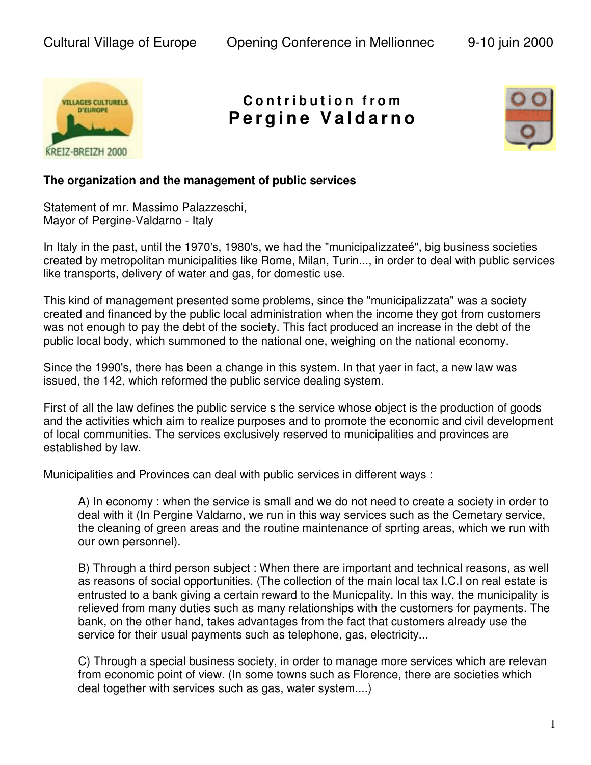

## **C o n t r i b u t i o n f r o m Pe r g i n e Va l d a r n o**



## **The organization and the management of public services**

Statement of mr. Massimo Palazzeschi, Mayor of Pergine-Valdarno - Italy

In Italy in the past, until the 1970's, 1980's, we had the "municipalizzateé", big business societies created by metropolitan municipalities like Rome, Milan, Turin..., in order to deal with public services like transports, delivery of water and gas, for domestic use.

This kind of management presented some problems, since the "municipalizzata" was a society created and financed by the public local administration when the income they got from customers was not enough to pay the debt of the society. This fact produced an increase in the debt of the public local body, which summoned to the national one, weighing on the national economy.

Since the 1990's, there has been a change in this system. In that yaer in fact, a new law was issued, the 142, which reformed the public service dealing system.

First of all the law defines the public service s the service whose object is the production of goods and the activities which aim to realize purposes and to promote the economic and civil development of local communities. The services exclusively reserved to municipalities and provinces are established by law.

Municipalities and Provinces can deal with public services in different ways :

A) In economy : when the service is small and we do not need to create a society in order to deal with it (In Pergine Valdarno, we run in this way services such as the Cemetary service, the cleaning of green areas and the routine maintenance of sprting areas, which we run with our own personnel).

B) Through a third person subject : When there are important and technical reasons, as well as reasons of social opportunities. (The collection of the main local tax I.C.I on real estate is entrusted to a bank giving a certain reward to the Municpality. In this way, the municipality is relieved from many duties such as many relationships with the customers for payments. The bank, on the other hand, takes advantages from the fact that customers already use the service for their usual payments such as telephone, gas, electricity...

C) Through a special business society, in order to manage more services which are relevan from economic point of view. (In some towns such as Florence, there are societies which deal together with services such as gas, water system....)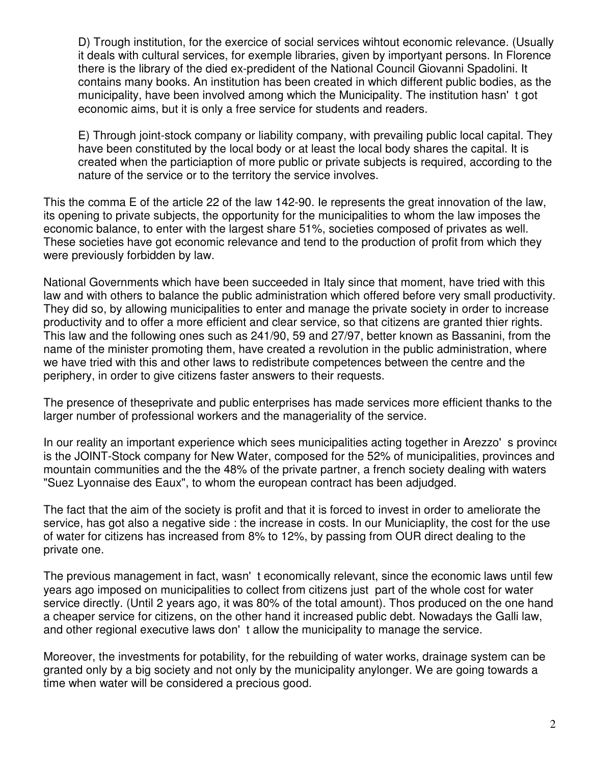D) Trough institution, for the exercice of social services wihtout economic relevance. (Usually it deals with cultural services, for exemple libraries, given by importyant persons. In Florence there is the library of the died ex-predident of the National Council Giovanni Spadolini. It contains many books. An institution has been created in which different public bodies, as the municipality, have been involved among which the Municipality. The institution hasn't got economic aims, but it is only a free service for students and readers.

E) Through joint-stock company or liability company, with prevailing public local capital. They have been constituted by the local body or at least the local body shares the capital. It is created when the particiaption of more public or private subjects is required, according to the nature of the service or to the territory the service involves.

This the comma E of the article 22 of the law 142-90. Ie represents the great innovation of the law, its opening to private subjects, the opportunity for the municipalities to whom the law imposes the economic balance, to enter with the largest share 51%, societies composed of privates as well. These societies have got economic relevance and tend to the production of profit from which they were previously forbidden by law.

National Governments which have been succeeded in Italy since that moment, have tried with this law and with others to balance the public administration which offered before very small productivity. They did so, by allowing municipalities to enter and manage the private society in order to increase productivity and to offer a more efficient and clear service, so that citizens are granted thier rights. This law and the following ones such as 241/90, 59 and 27/97, better known as Bassanini, from the name of the minister promoting them, have created a revolution in the public administration, where we have tried with this and other laws to redistribute competences between the centre and the periphery, in order to give citizens faster answers to their requests.

The presence of theseprivate and public enterprises has made services more efficient thanks to the larger number of professional workers and the manageriality of the service.

In our reality an important experience which sees municipalities acting together in Arezzo's province is the JOINT-Stock company for New Water, composed for the 52% of municipalities, provinces and mountain communities and the the 48% of the private partner, a french society dealing with waters "Suez Lyonnaise des Eaux", to whom the european contract has been adjudged.

The fact that the aim of the society is profit and that it is forced to invest in order to ameliorate the service, has got also a negative side : the increase in costs. In our Municiaplity, the cost for the use of water for citizens has increased from 8% to 12%, by passing from OUR direct dealing to the private one.

The previous management in fact, wasn't economically relevant, since the economic laws until few years ago imposed on municipalities to collect from citizens just part of the whole cost for water service directly. (Until 2 years ago, it was 80% of the total amount). Thos produced on the one hand a cheaper service for citizens, on the other hand it increased public debt. Nowadays the Galli law, and other regional executive laws don't allow the municipality to manage the service.

Moreover, the investments for potability, for the rebuilding of water works, drainage system can be granted only by a big society and not only by the municipality anylonger. We are going towards a time when water will be considered a precious good.